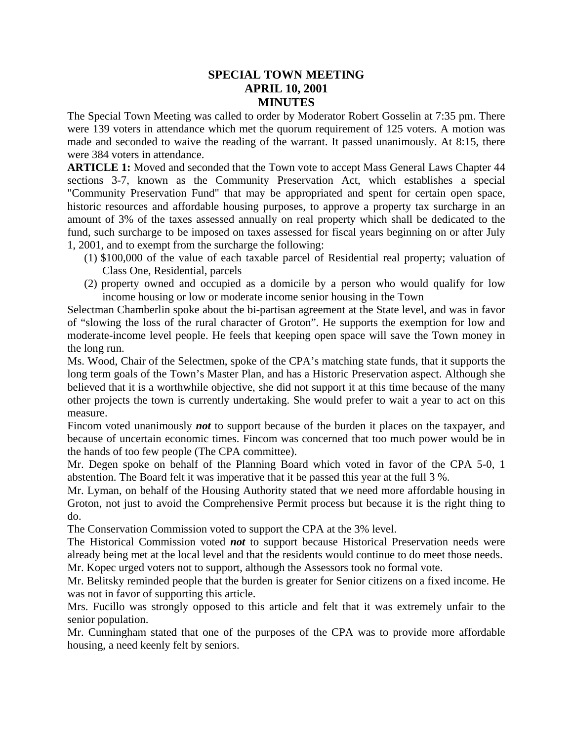## **SPECIAL TOWN MEETING APRIL 10, 2001 MINUTES**

The Special Town Meeting was called to order by Moderator Robert Gosselin at 7:35 pm. There were 139 voters in attendance which met the quorum requirement of 125 voters. A motion was made and seconded to waive the reading of the warrant. It passed unanimously. At 8:15, there were 384 voters in attendance.

**ARTICLE 1:** Moved and seconded that the Town vote to accept Mass General Laws Chapter 44 sections 3-7, known as the Community Preservation Act, which establishes a special "Community Preservation Fund" that may be appropriated and spent for certain open space, historic resources and affordable housing purposes, to approve a property tax surcharge in an amount of 3% of the taxes assessed annually on real property which shall be dedicated to the fund, such surcharge to be imposed on taxes assessed for fiscal years beginning on or after July 1, 2001, and to exempt from the surcharge the following:

- (1) \$100,000 of the value of each taxable parcel of Residential real property; valuation of Class One, Residential, parcels
- (2) property owned and occupied as a domicile by a person who would qualify for low income housing or low or moderate income senior housing in the Town

Selectman Chamberlin spoke about the bi-partisan agreement at the State level, and was in favor of "slowing the loss of the rural character of Groton". He supports the exemption for low and moderate-income level people. He feels that keeping open space will save the Town money in the long run.

Ms. Wood, Chair of the Selectmen, spoke of the CPA's matching state funds, that it supports the long term goals of the Town's Master Plan, and has a Historic Preservation aspect. Although she believed that it is a worthwhile objective, she did not support it at this time because of the many other projects the town is currently undertaking. She would prefer to wait a year to act on this measure.

Fincom voted unanimously *not* to support because of the burden it places on the taxpayer, and because of uncertain economic times. Fincom was concerned that too much power would be in the hands of too few people (The CPA committee).

Mr. Degen spoke on behalf of the Planning Board which voted in favor of the CPA 5-0, 1 abstention. The Board felt it was imperative that it be passed this year at the full 3 %.

Mr. Lyman, on behalf of the Housing Authority stated that we need more affordable housing in Groton, not just to avoid the Comprehensive Permit process but because it is the right thing to do.

The Conservation Commission voted to support the CPA at the 3% level.

The Historical Commission voted *not* to support because Historical Preservation needs were already being met at the local level and that the residents would continue to do meet those needs. Mr. Kopec urged voters not to support, although the Assessors took no formal vote.

Mr. Belitsky reminded people that the burden is greater for Senior citizens on a fixed income. He was not in favor of supporting this article.

Mrs. Fucillo was strongly opposed to this article and felt that it was extremely unfair to the senior population.

Mr. Cunningham stated that one of the purposes of the CPA was to provide more affordable housing, a need keenly felt by seniors.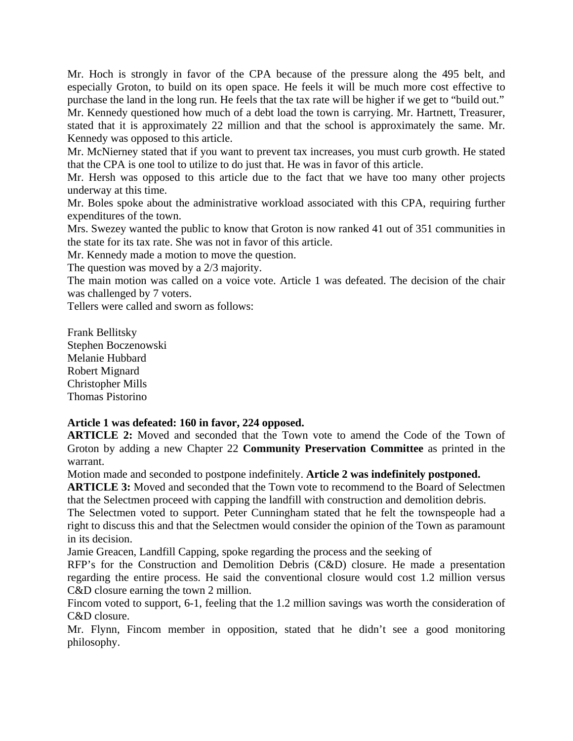Mr. Hoch is strongly in favor of the CPA because of the pressure along the 495 belt, and especially Groton, to build on its open space. He feels it will be much more cost effective to purchase the land in the long run. He feels that the tax rate will be higher if we get to "build out." Mr. Kennedy questioned how much of a debt load the town is carrying. Mr. Hartnett, Treasurer, stated that it is approximately 22 million and that the school is approximately the same. Mr.

Kennedy was opposed to this article.

Mr. McNierney stated that if you want to prevent tax increases, you must curb growth. He stated that the CPA is one tool to utilize to do just that. He was in favor of this article.

Mr. Hersh was opposed to this article due to the fact that we have too many other projects underway at this time.

Mr. Boles spoke about the administrative workload associated with this CPA, requiring further expenditures of the town.

Mrs. Swezey wanted the public to know that Groton is now ranked 41 out of 351 communities in the state for its tax rate. She was not in favor of this article.

Mr. Kennedy made a motion to move the question.

The question was moved by a 2/3 majority.

The main motion was called on a voice vote. Article 1 was defeated. The decision of the chair was challenged by 7 voters.

Tellers were called and sworn as follows:

Frank Bellitsky Stephen Boczenowski Melanie Hubbard Robert Mignard Christopher Mills Thomas Pistorino

## **Article 1 was defeated: 160 in favor, 224 opposed.**

**ARTICLE 2:** Moved and seconded that the Town vote to amend the Code of the Town of Groton by adding a new Chapter 22 **Community Preservation Committee** as printed in the warrant.

Motion made and seconded to postpone indefinitely. **Article 2 was indefinitely postponed.**

**ARTICLE 3:** Moved and seconded that the Town vote to recommend to the Board of Selectmen that the Selectmen proceed with capping the landfill with construction and demolition debris.

The Selectmen voted to support. Peter Cunningham stated that he felt the townspeople had a right to discuss this and that the Selectmen would consider the opinion of the Town as paramount in its decision.

Jamie Greacen, Landfill Capping, spoke regarding the process and the seeking of

RFP's for the Construction and Demolition Debris (C&D) closure. He made a presentation regarding the entire process. He said the conventional closure would cost 1.2 million versus C&D closure earning the town 2 million.

Fincom voted to support, 6-1, feeling that the 1.2 million savings was worth the consideration of C&D closure.

Mr. Flynn, Fincom member in opposition, stated that he didn't see a good monitoring philosophy.